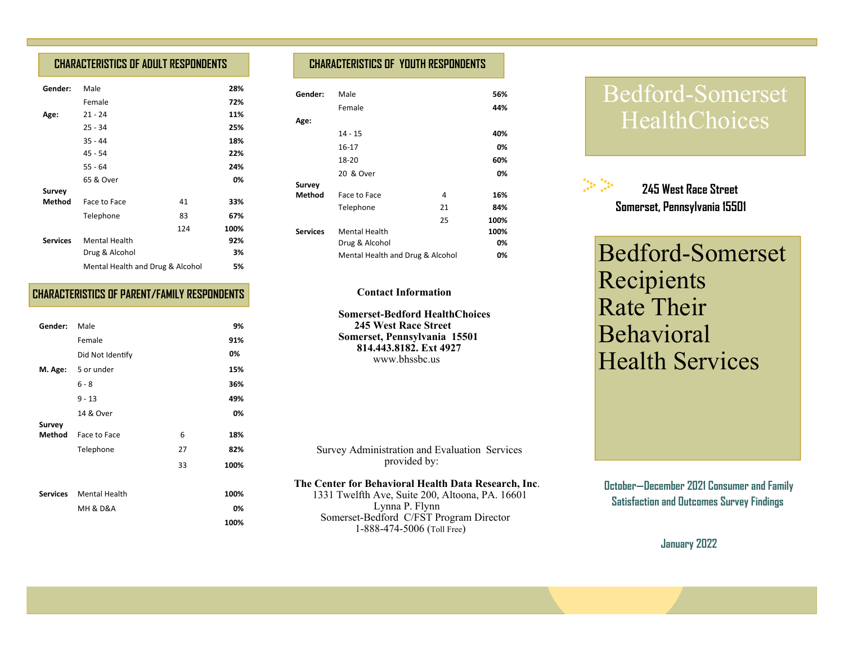## **CHARACTERISTICS OF ADULT RESPONDENTS**

| Gender:         | Male                             |     | 28%  |
|-----------------|----------------------------------|-----|------|
|                 | Female                           |     | 72%  |
| Age:            | $21 - 24$                        |     | 11%  |
|                 | $25 - 34$                        |     | 25%  |
|                 | $35 - 44$                        |     | 18%  |
|                 | 45 - 54                          |     | 22%  |
|                 | $55 - 64$                        |     | 24%  |
|                 | 65 & Over                        |     | 0%   |
| <b>Survey</b>   |                                  |     |      |
| Method          | Face to Face                     | 41  | 33%  |
|                 | Telephone                        | 83  | 67%  |
|                 |                                  | 124 | 100% |
| <b>Services</b> | <b>Mental Health</b>             |     | 92%  |
|                 | Drug & Alcohol                   |     | 3%   |
|                 | Mental Health and Drug & Alcohol |     | 5%   |

### **CHARACTERISTICS OF PARENT/FAMILY RESPONDENTS**

| Gender:  | Male                    |    | 9%   |
|----------|-------------------------|----|------|
|          | Female                  |    | 91%  |
|          | Did Not Identify        |    | 0%   |
| M. Age:  | 5 or under              |    | 15%  |
|          | $6 - 8$                 |    | 36%  |
|          | $9 - 13$                |    | 49%  |
|          | 14 & Over               |    | 0%   |
| Survey   |                         |    |      |
| Method   | Face to Face            | 6  | 18%  |
|          | Telephone               | 27 | 82%  |
|          |                         | 33 | 100% |
|          |                         |    |      |
| Services | <b>Mental Health</b>    |    | 100% |
|          | <b>MH &amp; D&amp;A</b> |    | 0%   |
|          |                         |    | 100% |

## **CHARACTERISTICS OF YOUTH RESPONDENTS**

| Gender:         | Male                             |    | 56%  |
|-----------------|----------------------------------|----|------|
|                 | Female                           |    | 44%  |
| Age:            |                                  |    |      |
|                 | $14 - 15$                        |    | 40%  |
|                 | 16-17                            |    | 0%   |
|                 | 18-20                            |    | 60%  |
|                 | 20 & Over                        |    | 0%   |
| <b>Survey</b>   |                                  |    |      |
| Method          | Face to Face                     | 4  | 16%  |
|                 | Telephone                        | 21 | 84%  |
|                 |                                  | 25 | 100% |
| <b>Services</b> | <b>Mental Health</b>             |    | 100% |
|                 | Drug & Alcohol                   |    | 0%   |
|                 | Mental Health and Drug & Alcohol |    | 0%   |

#### **Contact Information**

 **Somerset-Bedford HealthChoices 245 West Race Street Somerset, Pennsylvania 15501 814.443.8182. Ext 4927**www.bhssbc.us

 Survey Administration and Evaluation Services provided by:

#### **The Center for Behavioral Health Data Research, Inc**.

 1331 Twelfth Ave, Suite 200, Altoona, PA. 16601 Lynna P. Flynn Somerset-Bedford C/FST Program Director 1-888-474-5006 (Toll Free)

# Bedford-Somerset HealthChoices



Bedford-Somerset Recipients Rate Their Behavioral Health Services

 **October—December 2021 Consumer and Family Satisfaction and Outcomes Survey Findings** 

**January 2022**